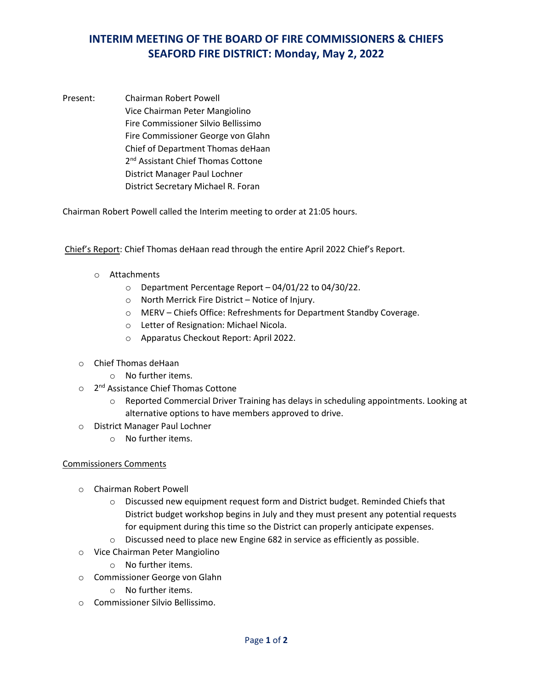## **INTERIM MEETING OF THE BOARD OF FIRE COMMISSIONERS & CHIEFS SEAFORD FIRE DISTRICT: Monday, May 2, 2022**

Present: Chairman Robert Powell Vice Chairman Peter Mangiolino Fire Commissioner Silvio Bellissimo Fire Commissioner George von Glahn Chief of Department Thomas deHaan 2<sup>nd</sup> Assistant Chief Thomas Cottone District Manager Paul Lochner District Secretary Michael R. Foran

Chairman Robert Powell called the Interim meeting to order at 21:05 hours.

Chief's Report: Chief Thomas deHaan read through the entire April 2022 Chief's Report.

- o Attachments
	- o Department Percentage Report 04/01/22 to 04/30/22.
	- o North Merrick Fire District Notice of Injury.
	- o MERV Chiefs Office: Refreshments for Department Standby Coverage.
	- o Letter of Resignation: Michael Nicola.
	- o Apparatus Checkout Report: April 2022.
- o Chief Thomas deHaan
	- o No further items.
- o 2<sup>nd</sup> Assistance Chief Thomas Cottone
	- o Reported Commercial Driver Training has delays in scheduling appointments. Looking at alternative options to have members approved to drive.
- o District Manager Paul Lochner
	- o No further items.

## Commissioners Comments

- o Chairman Robert Powell
	- o Discussed new equipment request form and District budget. Reminded Chiefs that District budget workshop begins in July and they must present any potential requests for equipment during this time so the District can properly anticipate expenses.
	- o Discussed need to place new Engine 682 in service as efficiently as possible.
- o Vice Chairman Peter Mangiolino
	- o No further items.
- o Commissioner George von Glahn
	- o No further items.
- o Commissioner Silvio Bellissimo.